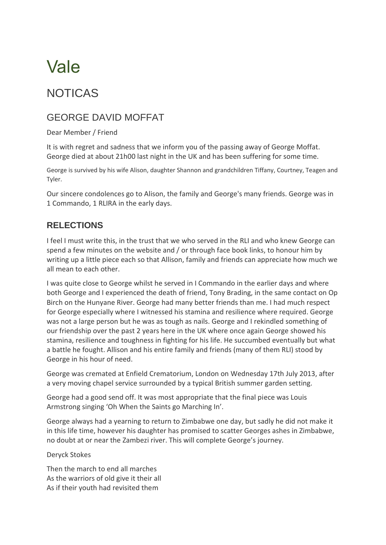## Vale

## NOTICAS

## GEORGE DAVID MOFFAT

Dear Member / Friend

It is with regret and sadness that we inform you of the passing away of George Moffat. George died at about 21h00 last night in the UK and has been suffering for some time.

George is survived by his wife Alison, daughter Shannon and grandchildren Tiffany, Courtney, Teagen and Tyler.

Our sincere condolences go to Alison, the family and George's many friends. George was in 1 Commando, 1 RLIRA in the early days.

## **RELECTIONS**

I feel I must write this, in the trust that we who served in the RLI and who knew George can spend a few minutes on the website and / or through face book links, to honour him by writing up a little piece each so that Allison, family and friends can appreciate how much we all mean to each other.

I was quite close to George whilst he served in I Commando in the earlier days and where both George and I experienced the death of friend, Tony Brading, in the same contact on Op Birch on the Hunyane River. George had many better friends than me. I had much respect for George especially where I witnessed his stamina and resilience where required. George was not a large person but he was as tough as nails. George and I rekindled something of our friendship over the past 2 years here in the UK where once again George showed his stamina, resilience and toughness in fighting for his life. He succumbed eventually but what a battle he fought. Allison and his entire family and friends (many of them RLI) stood by George in his hour of need.

George was cremated at Enfield Crematorium, London on Wednesday 17th July 2013, after a very moving chapel service surrounded by a typical British summer garden setting.

George had a good send off. It was most appropriate that the final piece was Louis Armstrong singing 'Oh When the Saints go Marching In'.

George always had a yearning to return to Zimbabwe one day, but sadly he did not make it in this life time, however his daughter has promised to scatter Georges ashes in Zimbabwe, no doubt at or near the Zambezi river. This will complete George's journey.

Deryck Stokes

Then the march to end all marches As the warriors of old give it their all As if their youth had revisited them